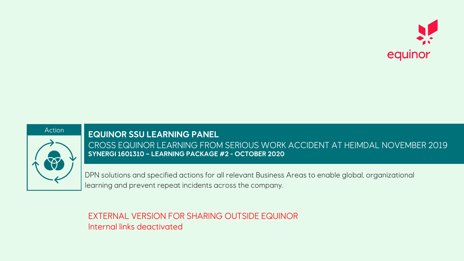



**EQUINOR SSU LEARNING PANEL** CROSS EQUINOR LEARNING FROM SERIOUS WORK ACCIDENT AT HEIMDAL NOVEMBER 2019 **SYNERGI 1601310 – LEARNING PACKAGE #2 - OCTOBER 2020**

DPN solutions and specified actions for all relevant Business Areas to enable global, organizational learning and prevent repeat incidents across the company.

EXTERNAL VERSION FOR SHARING OUTSIDE EQUINOR Internal links deactivated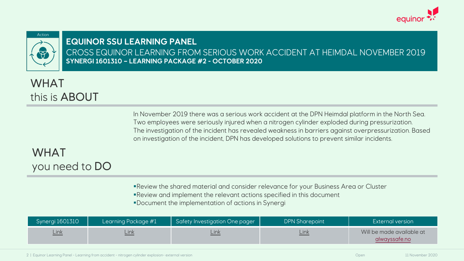

#### **EQUINOR SSU LEARNING PANEL** CROSS EQUINOR LEARNING FROM SERIOUS WORK ACCIDE **SYNERGI 1601310 – LEARNING PACKAGE #2 - OCTOBER 2020**

# WHAT this is ABOUT

In November 2019 there was a serious work accident at Two employees were seriously injured when a nitrogen The investigation of the incident has revealed weakness on investigation of the incident, DPN has developed solution

## WHAT you need to DO

• Review the shared material and consider relevance for

•Review and implement the relevant actions specified in

§Document the implementation of actions in Synergi

| Synergi 1601310 | Learning Package #1 | Safety Investigation One pager | <b>DPN</b> |
|-----------------|---------------------|--------------------------------|------------|
| Link            | Link                | Link                           |            |

2 | Equinor Learning Panel - Learning from accident - nitrogen cylinder explosion- external version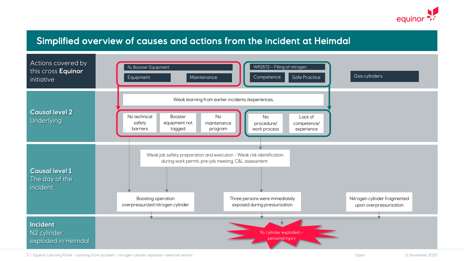

#### Simplified overview of causes and actions from the incident at Heimdal



3 | Equinor Learning Panel - Learning from accident - nitrogen cylinder explosion- external version

Open 11 November 2020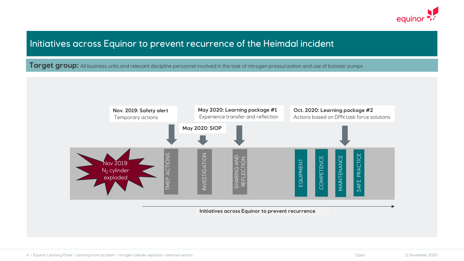

#### Initiatives across Equinor to prevent recurrence of the Heimdal incident

Target group: All business units and relevant discipline personnel involved in the task of nitrogen pressurization and use of booster pumps

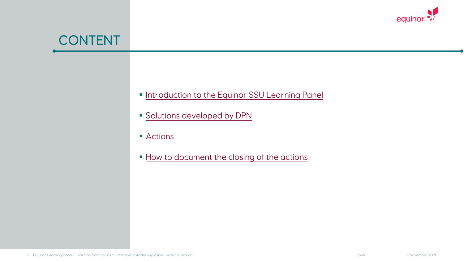# CONTENT

- **Introduction to the Equinor SSU Learnin**
- **Solutions developed by DPN**
- <u>Actions</u>
- **How to document the closing of the actions**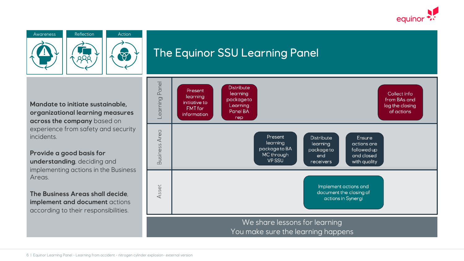





## The Equinor SSU Learning Panel

**Mandate to initiate sustainable, organizational learning measures across the company** based on experience from safety and security incidents.

**Provide a good basis for understanding**, deciding and implementing actions in the Business Areas.

**The Business Areas shall decide**, **implement and document** actions according to their responsibilities.



You make sure the learning happens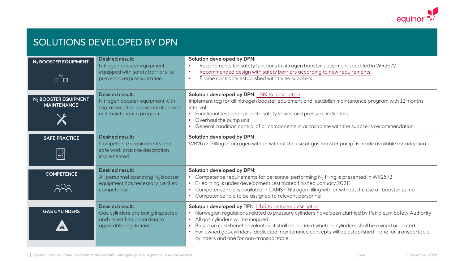### SOLUTIONS DEVELOPED BY DPN

| N <sub>2</sub> BOOSTER EQUIPMENT             | <b>Desired result:</b><br>Nitrogen booster equipment<br>equipped with safety barriers to<br>prevent overpressurization      | Solution developed by DPN:<br>Requirements for safety functions in nitrog<br>Recommended design with safety barriers<br>$\bullet$<br>Frame contracts established with three su<br>$\bullet$                                                                                |
|----------------------------------------------|-----------------------------------------------------------------------------------------------------------------------------|----------------------------------------------------------------------------------------------------------------------------------------------------------------------------------------------------------------------------------------------------------------------------|
| $N2$ BOOSTER EQUIPMENT<br><b>MAINTENANCE</b> | <b>Desired result:</b><br>Nitrogen booster equipment with<br>tag, associated documentation and<br>unit maintenance program. | Solution developed by DPN: LINK to description<br>Implement tag for all nitrogen booster equipme<br>interval:<br>• Functional test and calibrate safety valves a<br>• Overhaul the pump unit<br>• General condition control of all components                              |
| <b>SAFE PRACTICE</b><br>$\boxed{\mathbb{E}}$ | <b>Desired result:</b><br>Competence requirements and<br>safe work practice description<br>implemented.                     | Solution developed by DPN<br>WR2672 "Filling of nitrogen with or without the                                                                                                                                                                                               |
| <b>COMPETENCE</b>                            | <b>Desired result:</b><br>All personnel operating $N_2$ booster<br>equipment has necessary, verified<br>competence          | Solution developed by DPN:<br>Competence requirements for personnel pe<br>E-learning is under development (estimated<br>Competence role is available in CAMS-"Nitr<br>Competence role to be assigned to relevant                                                           |
| <b>GAS CYLINDERS</b>                         | <b>Desired result:</b><br>Gas cylinders are being inspected<br>and recertified according to<br>applicable regulations       | Solution developed by DPN: LINK to detailed a<br>Norwegian regulations related to pressure<br>All gas cylinders will be mapped<br>Based on cost-benefit evaluation it shall be<br>• For owned gas cylinders, dedicated mainter<br>cylinders and one for non-transportable. |

7 | Equinor Learning Panel - Learning from accident - nitrogen cylinder explosion- external version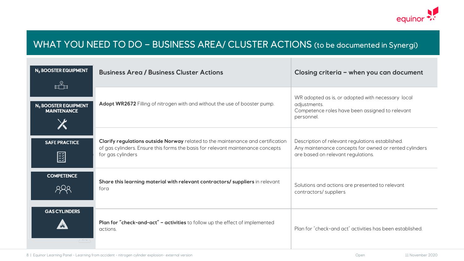

### WHAT YOU NEED TO DO – BUSINESS AREA/ CLUSTER ACTIONS (to be documented in Synergi)

| N <sub>2</sub> BOOSTER EQUIPMENT<br>rå                 | <b>Business Area / Business Cluster Actions</b>                                                                                                                                         | Closing criteria - when you can document                                                                                                         |
|--------------------------------------------------------|-----------------------------------------------------------------------------------------------------------------------------------------------------------------------------------------|--------------------------------------------------------------------------------------------------------------------------------------------------|
| N <sub>2</sub> BOOSTER EQUIPMENT<br><b>MAINTENANCE</b> | Adopt WR2672 Filling of nitrogen with and without the use of booster pump.                                                                                                              | WR adopted as is, or adopted with necessary local<br>adjustments.<br>Competence roles have been assigned to relevant<br>personnel.               |
| <b>SAFE PRACTICE</b><br>闓                              | Clarify regulations outside Norway related to the maintenance and certification<br>of gas cylinders. Ensure this forms the basis for relevant maintenance concepts<br>for gas cylinders | Description of relevant regulations established.<br>Any maintenance concepts for owned or rented cylinders<br>are based on relevant regulations. |
| <b>COMPETENCE</b>                                      | Share this learning material with relevant contractors/ suppliers in relevant<br>fora                                                                                                   | Solutions and actions are presented to relevant<br>contractors/suppliers                                                                         |
| <b>GAS CYLINDERS</b>                                   | Plan for "check-and-act" - activities to follow up the effect of implemented<br>actions.                                                                                                | Plan for "check-and act" activities has been established.                                                                                        |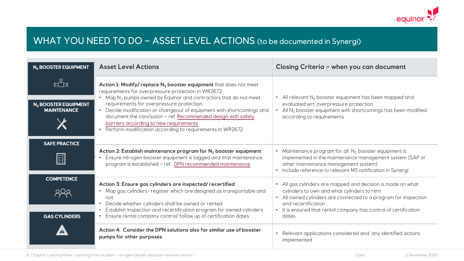### WHAT YOU NEED TO DO - ASS[ET LEVEL ACTIONS](https://alwayssafe.no/wp-content/uploads/2020/11/Tag-and-maintenance-program-for-mobile-nitrogen-gas-booster-pumps_Link3-external.pdf) (to be documented in Syntantics)

| N <sub>2</sub> BOOSTER EQUIPMENT                             | <b>Asset Level Actions</b>                                                                                                                                                                                                                                                                                                                                                                                                                                                                                                                 | <b>Closin</b>                                                        |
|--------------------------------------------------------------|--------------------------------------------------------------------------------------------------------------------------------------------------------------------------------------------------------------------------------------------------------------------------------------------------------------------------------------------------------------------------------------------------------------------------------------------------------------------------------------------------------------------------------------------|----------------------------------------------------------------------|
| ⊩≗<br>N <sub>2</sub> BOOSTER EQUIPMENT<br><b>MAINTENANCE</b> | Action 1: Modify/ replace N <sub>2</sub> booster equipment that does not meet<br>requirements for overpressure protection in WR2672<br>Map $N_2$ pumps owned by Equinor and contractors that do not meet<br>$\bullet$<br>requirements for overpressure protection.<br>Decide modification or changeout of equipment with shortcomings and<br>$\bullet$<br>document the conclusion - ref. Recommended design with safety<br>barriers according to new requirements<br>Perform modification according to requirements in WR2672<br>$\bullet$ | • All reli<br>evalud<br>All $N_2$<br>accor                           |
| <b>SAFE PRACTICE</b><br>国                                    | Action 2: Establish maintenance program for $N_2$ booster equipment<br>Ensure nitrogen booster equipment is tagged and that maintenance<br>program is established - ref. DPN recommended maintenance                                                                                                                                                                                                                                                                                                                                       | · Mainte<br>impler<br>other<br>· Includ                              |
| <b>COMPETENCE</b><br><b>GAS CYLINDERS</b>                    | Action 3: Ensure gas cylinders are inspected/ recertified<br>Map gas cylinders- register which are designed as transportable and<br>not<br>Decide whether cylinders shall be owned or rented<br>Establish inspection and recertification program for owned cylinders<br>Ensure rental company control/ follow up of certification dates<br>$\bullet$                                                                                                                                                                                       | All ga:<br>cylind<br>• All ow<br>and re<br>$\cdot$ It is er<br>dates |
|                                                              | Action 4: Consider the DPN solutions also for similar use of booster<br>pumps for other purposes                                                                                                                                                                                                                                                                                                                                                                                                                                           | • Relevo<br>impler                                                   |

9 | Equinor Learning Panel - Learning from accident - nitrogen cylinder explosion- external version